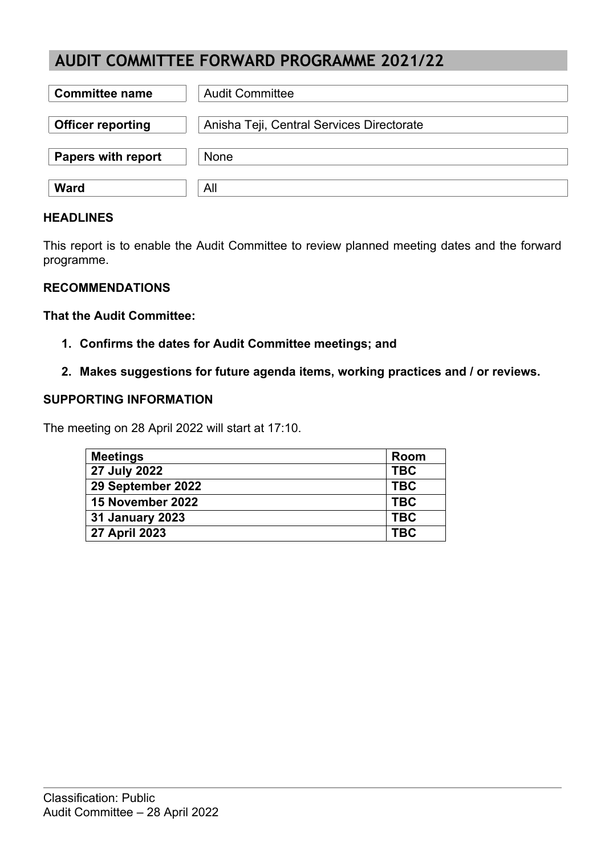# **AUDIT COMMITTEE FORWARD PROGRAMME 2021/22**

| <b>Committee name</b>     | <b>Audit Committee</b>                    |
|---------------------------|-------------------------------------------|
| <b>Officer reporting</b>  | Anisha Teji, Central Services Directorate |
| <b>Papers with report</b> | <b>None</b>                               |
| <b>Ward</b>               | All                                       |

#### **HEADLINES**

This report is to enable the Audit Committee to review planned meeting dates and the forward programme.

## **RECOMMENDATIONS**

#### **That the Audit Committee:**

- **1. Confirms the dates for Audit Committee meetings; and**
- **2. Makes suggestions for future agenda items, working practices and / or reviews.**

## **SUPPORTING INFORMATION**

The meeting on 28 April 2022 will start at 17:10.

| <b>Meetings</b>        | Room       |
|------------------------|------------|
| 27 July 2022           | <b>TBC</b> |
| 29 September 2022      | <b>TBC</b> |
| 15 November 2022       | <b>TBC</b> |
| <b>31 January 2023</b> | <b>TBC</b> |
| 27 April 2023          | <b>TBC</b> |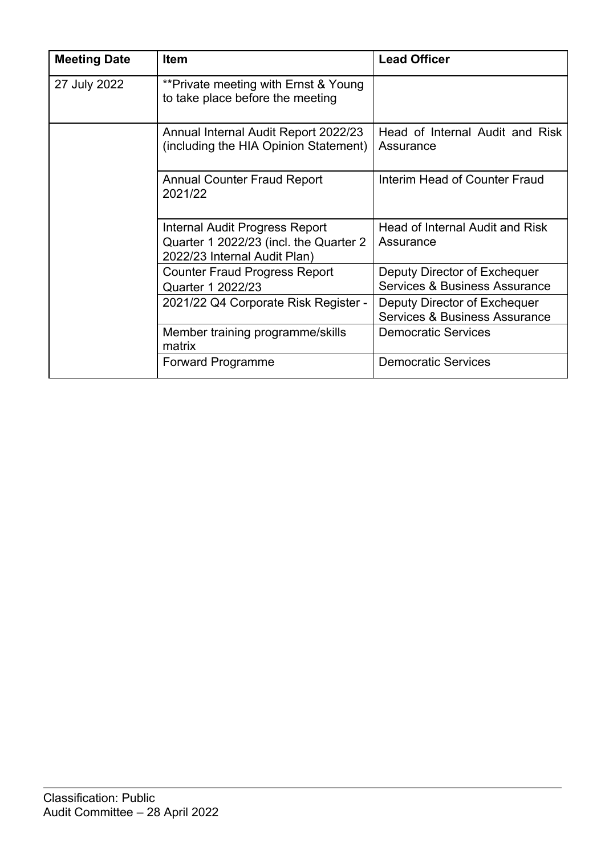| <b>Meeting Date</b> | <b>Item</b>                                                                                                     | <b>Lead Officer</b>                                           |
|---------------------|-----------------------------------------------------------------------------------------------------------------|---------------------------------------------------------------|
| 27 July 2022        | **Private meeting with Ernst & Young<br>to take place before the meeting                                        |                                                               |
|                     | Annual Internal Audit Report 2022/23<br>(including the HIA Opinion Statement)                                   | Head of Internal Audit and Risk<br>Assurance                  |
|                     | <b>Annual Counter Fraud Report</b><br>2021/22                                                                   | Interim Head of Counter Fraud                                 |
|                     | <b>Internal Audit Progress Report</b><br>Quarter 1 2022/23 (incl. the Quarter 2<br>2022/23 Internal Audit Plan) | Head of Internal Audit and Risk<br>Assurance                  |
|                     | <b>Counter Fraud Progress Report</b><br>Quarter 1 2022/23                                                       | Deputy Director of Exchequer<br>Services & Business Assurance |
|                     | 2021/22 Q4 Corporate Risk Register -                                                                            | Deputy Director of Exchequer<br>Services & Business Assurance |
|                     | Member training programme/skills<br>matrix                                                                      | <b>Democratic Services</b>                                    |
|                     | <b>Forward Programme</b>                                                                                        | <b>Democratic Services</b>                                    |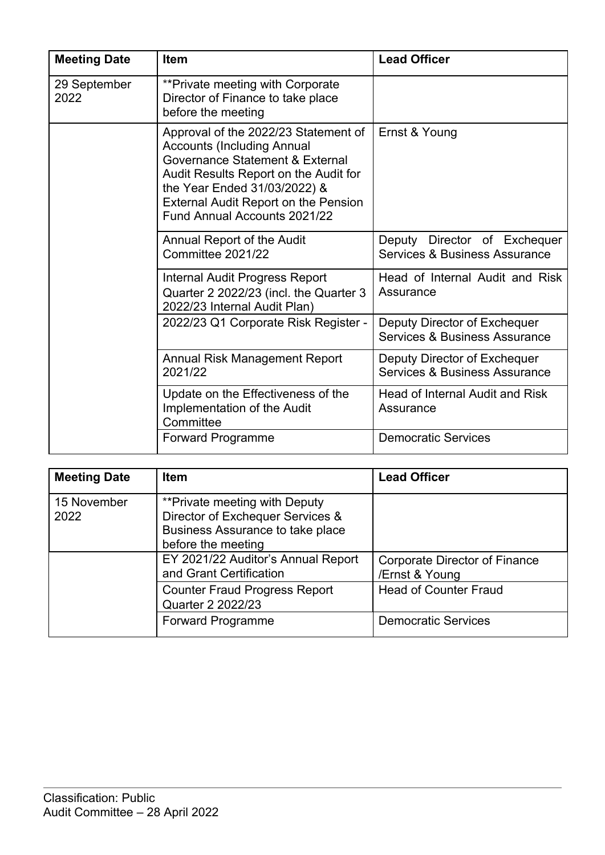| <b>Meeting Date</b>  | <b>Item</b>                                                                                                                                                                                                                                                          | <b>Lead Officer</b>                                                      |
|----------------------|----------------------------------------------------------------------------------------------------------------------------------------------------------------------------------------------------------------------------------------------------------------------|--------------------------------------------------------------------------|
| 29 September<br>2022 | **Private meeting with Corporate<br>Director of Finance to take place<br>before the meeting                                                                                                                                                                          |                                                                          |
|                      | Approval of the 2022/23 Statement of<br><b>Accounts (Including Annual</b><br>Governance Statement & External<br>Audit Results Report on the Audit for<br>the Year Ended 31/03/2022) &<br><b>External Audit Report on the Pension</b><br>Fund Annual Accounts 2021/22 | Ernst & Young                                                            |
|                      | Annual Report of the Audit<br>Committee 2021/22                                                                                                                                                                                                                      | Deputy Director of Exchequer<br><b>Services &amp; Business Assurance</b> |
|                      | <b>Internal Audit Progress Report</b><br>Quarter 2 2022/23 (incl. the Quarter 3<br>2022/23 Internal Audit Plan)                                                                                                                                                      | Head of Internal Audit and Risk<br>Assurance                             |
|                      | 2022/23 Q1 Corporate Risk Register -                                                                                                                                                                                                                                 | Deputy Director of Exchequer<br>Services & Business Assurance            |
|                      | <b>Annual Risk Management Report</b><br>2021/22                                                                                                                                                                                                                      | Deputy Director of Exchequer<br>Services & Business Assurance            |
|                      | Update on the Effectiveness of the<br>Implementation of the Audit<br>Committee                                                                                                                                                                                       | Head of Internal Audit and Risk<br>Assurance                             |
|                      | <b>Forward Programme</b>                                                                                                                                                                                                                                             | <b>Democratic Services</b>                                               |

| <b>Meeting Date</b> | <b>Item</b>                                                                                                                 | <b>Lead Officer</b>                                    |
|---------------------|-----------------------------------------------------------------------------------------------------------------------------|--------------------------------------------------------|
| 15 November<br>2022 | **Private meeting with Deputy<br>Director of Exchequer Services &<br>Business Assurance to take place<br>before the meeting |                                                        |
|                     | EY 2021/22 Auditor's Annual Report<br>and Grant Certification                                                               | <b>Corporate Director of Finance</b><br>/Ernst & Young |
|                     | <b>Counter Fraud Progress Report</b><br>Quarter 2 2022/23                                                                   | <b>Head of Counter Fraud</b>                           |
|                     | <b>Forward Programme</b>                                                                                                    | <b>Democratic Services</b>                             |